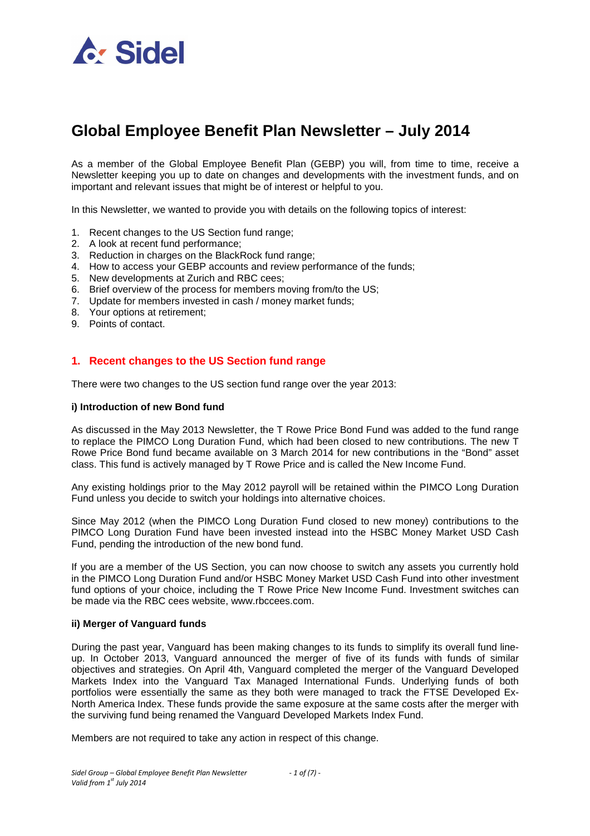

# **Global Employee Benefit Plan Newsletter – July 2014**

As a member of the Global Employee Benefit Plan (GEBP) you will, from time to time, receive a Newsletter keeping you up to date on changes and developments with the investment funds, and on important and relevant issues that might be of interest or helpful to you.

In this Newsletter, we wanted to provide you with details on the following topics of interest:

- 1. Recent changes to the US Section fund range;
- 2. A look at recent fund performance;
- 3. Reduction in charges on the BlackRock fund range;
- 4. How to access your GEBP accounts and review performance of the funds;
- 5. New developments at Zurich and RBC cees;
- 6. Brief overview of the process for members moving from/to the US;
- 7. Update for members invested in cash / money market funds;
- 8. Your options at retirement;
- 9. Points of contact.

## **1. Recent changes to the US Section fund range**

There were two changes to the US section fund range over the year 2013:

#### **i) Introduction of new Bond fund**

As discussed in the May 2013 Newsletter, the T Rowe Price Bond Fund was added to the fund range to replace the PIMCO Long Duration Fund, which had been closed to new contributions. The new T Rowe Price Bond fund became available on 3 March 2014 for new contributions in the "Bond" asset class. This fund is actively managed by T Rowe Price and is called the New Income Fund.

Any existing holdings prior to the May 2012 payroll will be retained within the PIMCO Long Duration Fund unless you decide to switch your holdings into alternative choices.

Since May 2012 (when the PIMCO Long Duration Fund closed to new money) contributions to the PIMCO Long Duration Fund have been invested instead into the HSBC Money Market USD Cash Fund, pending the introduction of the new bond fund.

If you are a member of the US Section, you can now choose to switch any assets you currently hold in the PIMCO Long Duration Fund and/or HSBC Money Market USD Cash Fund into other investment fund options of your choice, including the T Rowe Price New Income Fund. Investment switches can be made via the RBC cees website, www.rbccees.com.

#### **ii) Merger of Vanguard funds**

During the past year, Vanguard has been making changes to its funds to simplify its overall fund lineup. In October 2013, Vanguard announced the merger of five of its funds with funds of similar objectives and strategies. On April 4th, Vanguard completed the merger of the Vanguard Developed Markets Index into the Vanguard Tax Managed International Funds. Underlying funds of both portfolios were essentially the same as they both were managed to track the FTSE Developed Ex-North America Index. These funds provide the same exposure at the same costs after the merger with the surviving fund being renamed the Vanguard Developed Markets Index Fund.

Members are not required to take any action in respect of this change.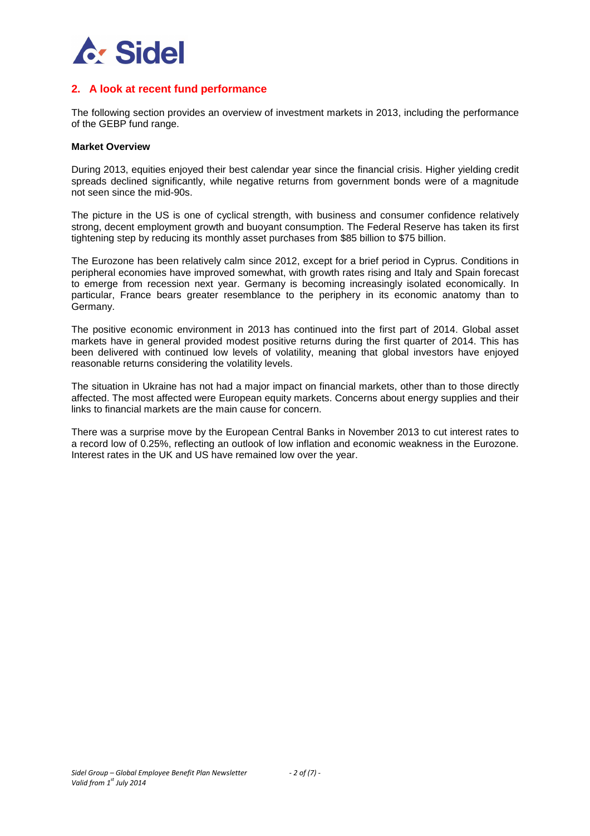

# **2. A look at recent fund performance**

The following section provides an overview of investment markets in 2013, including the performance of the GEBP fund range.

#### **Market Overview**

During 2013, equities enjoyed their best calendar year since the financial crisis. Higher yielding credit spreads declined significantly, while negative returns from government bonds were of a magnitude not seen since the mid-90s.

The picture in the US is one of cyclical strength, with business and consumer confidence relatively strong, decent employment growth and buoyant consumption. The Federal Reserve has taken its first tightening step by reducing its monthly asset purchases from \$85 billion to \$75 billion.

The Eurozone has been relatively calm since 2012, except for a brief period in Cyprus. Conditions in peripheral economies have improved somewhat, with growth rates rising and Italy and Spain forecast to emerge from recession next year. Germany is becoming increasingly isolated economically. In particular, France bears greater resemblance to the periphery in its economic anatomy than to Germany.

The positive economic environment in 2013 has continued into the first part of 2014. Global asset markets have in general provided modest positive returns during the first quarter of 2014. This has been delivered with continued low levels of volatility, meaning that global investors have enjoyed reasonable returns considering the volatility levels.

The situation in Ukraine has not had a major impact on financial markets, other than to those directly affected. The most affected were European equity markets. Concerns about energy supplies and their links to financial markets are the main cause for concern.

There was a surprise move by the European Central Banks in November 2013 to cut interest rates to a record low of 0.25%, reflecting an outlook of low inflation and economic weakness in the Eurozone. Interest rates in the UK and US have remained low over the year.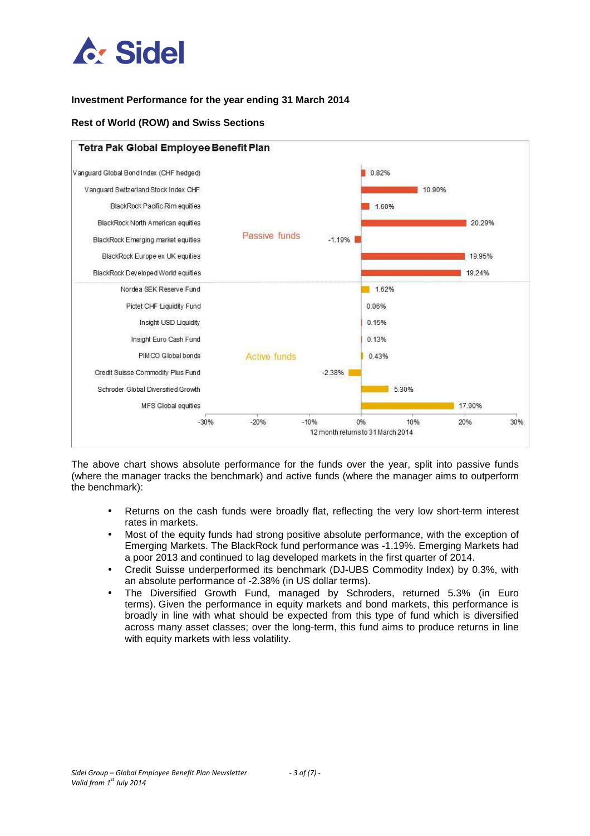

## **Investment Performance for the year ending 31 March 2014**

## **Rest of World (ROW) and Swiss Sections**



The above chart shows absolute performance for the funds over the year, split into passive funds (where the manager tracks the benchmark) and active funds (where the manager aims to outperform the benchmark):

- Returns on the cash funds were broadly flat, reflecting the very low short-term interest rates in markets.
- Most of the equity funds had strong positive absolute performance, with the exception of Emerging Markets. The BlackRock fund performance was -1.19%. Emerging Markets had a poor 2013 and continued to lag developed markets in the first quarter of 2014.
- Credit Suisse underperformed its benchmark (DJ-UBS Commodity Index) by 0.3%, with an absolute performance of -2.38% (in US dollar terms).
- The Diversified Growth Fund, managed by Schroders, returned 5.3% (in Euro terms). Given the performance in equity markets and bond markets, this performance is broadly in line with what should be expected from this type of fund which is diversified across many asset classes; over the long-term, this fund aims to produce returns in line with equity markets with less volatility.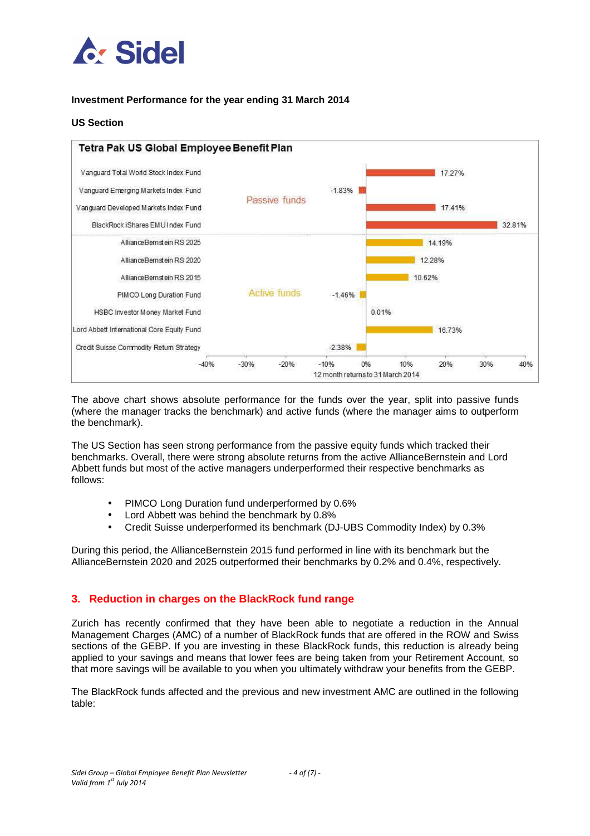

## **Investment Performance for the year ending 31 March 2014**

### **US Section**



The above chart shows absolute performance for the funds over the year, split into passive funds (where the manager tracks the benchmark) and active funds (where the manager aims to outperform the benchmark).

The US Section has seen strong performance from the passive equity funds which tracked their benchmarks. Overall, there were strong absolute returns from the active AllianceBernstein and Lord Abbett funds but most of the active managers underperformed their respective benchmarks as follows:

- PIMCO Long Duration fund underperformed by 0.6%
- Lord Abbett was behind the benchmark by 0.8%
- Credit Suisse underperformed its benchmark (DJ-UBS Commodity Index) by 0.3%

During this period, the AllianceBernstein 2015 fund performed in line with its benchmark but the AllianceBernstein 2020 and 2025 outperformed their benchmarks by 0.2% and 0.4%, respectively.

# **3. Reduction in charges on the BlackRock fund range**

Zurich has recently confirmed that they have been able to negotiate a reduction in the Annual Management Charges (AMC) of a number of BlackRock funds that are offered in the ROW and Swiss sections of the GEBP. If you are investing in these BlackRock funds, this reduction is already being applied to your savings and means that lower fees are being taken from your Retirement Account, so that more savings will be available to you when you ultimately withdraw your benefits from the GEBP.

The BlackRock funds affected and the previous and new investment AMC are outlined in the following table: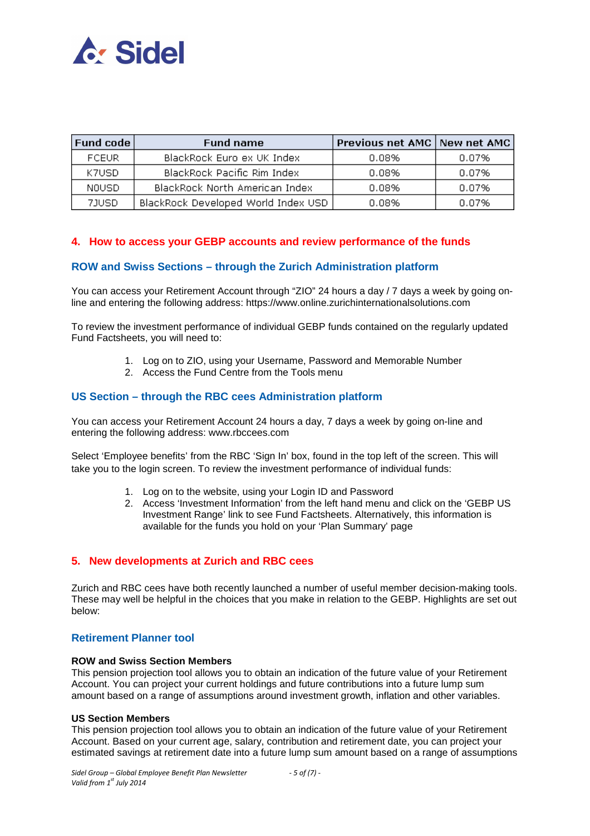

| <b>Fund code</b> | <b>Fund name</b>                    | Previous net AMC   New net AMC |       |
|------------------|-------------------------------------|--------------------------------|-------|
| <b>FCEUR</b>     | BlackRock Euro ex UK Index          | 0.08%                          | 0.07% |
| K7USD.           | BlackRock Pacific Rim Index         | 0.08%                          | 0.07% |
| NOUSD.           | BlackRock North American Index      | 0.08%                          | 0.07% |
| 7JUSD            | BlackRock Developed World Index USD | 0.08%                          | 0.07% |

# **4. How to access your GEBP accounts and review performance of the funds**

## **ROW and Swiss Sections – through the Zurich Administration platform**

You can access your Retirement Account through "ZIO" 24 hours a day / 7 days a week by going online and entering the following address: https://www.online.zurichinternationalsolutions.com

To review the investment performance of individual GEBP funds contained on the regularly updated Fund Factsheets, you will need to:

- 1. Log on to ZIO, using your Username, Password and Memorable Number
- 2. Access the Fund Centre from the Tools menu

## **US Section – through the RBC cees Administration platform**

You can access your Retirement Account 24 hours a day, 7 days a week by going on-line and entering the following address: www.rbccees.com

Select 'Employee benefits' from the RBC 'Sign In' box, found in the top left of the screen. This will take you to the login screen. To review the investment performance of individual funds:

- 1. Log on to the website, using your Login ID and Password
- 2. Access 'Investment Information' from the left hand menu and click on the 'GEBP US Investment Range' link to see Fund Factsheets. Alternatively, this information is available for the funds you hold on your 'Plan Summary' page

## **5. New developments at Zurich and RBC cees**

Zurich and RBC cees have both recently launched a number of useful member decision-making tools. These may well be helpful in the choices that you make in relation to the GEBP. Highlights are set out below:

# **Retirement Planner tool**

#### **ROW and Swiss Section Members**

This pension projection tool allows you to obtain an indication of the future value of your Retirement Account. You can project your current holdings and future contributions into a future lump sum amount based on a range of assumptions around investment growth, inflation and other variables.

#### **US Section Members**

This pension projection tool allows you to obtain an indication of the future value of your Retirement Account. Based on your current age, salary, contribution and retirement date, you can project your estimated savings at retirement date into a future lump sum amount based on a range of assumptions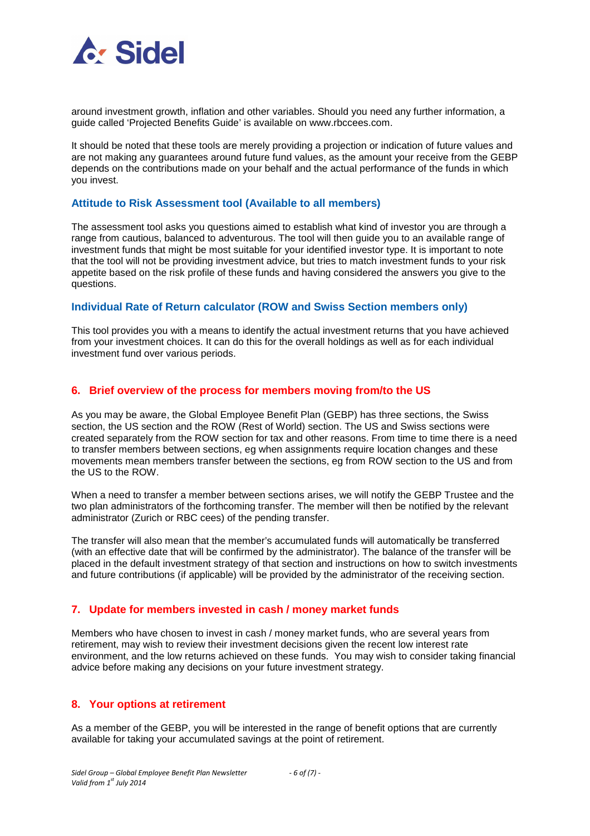

around investment growth, inflation and other variables. Should you need any further information, a guide called 'Projected Benefits Guide' is available on www.rbccees.com.

It should be noted that these tools are merely providing a projection or indication of future values and are not making any guarantees around future fund values, as the amount your receive from the GEBP depends on the contributions made on your behalf and the actual performance of the funds in which you invest.

#### **Attitude to Risk Assessment tool (Available to all members)**

The assessment tool asks you questions aimed to establish what kind of investor you are through a range from cautious, balanced to adventurous. The tool will then guide you to an available range of investment funds that might be most suitable for your identified investor type. It is important to note that the tool will not be providing investment advice, but tries to match investment funds to your risk appetite based on the risk profile of these funds and having considered the answers you give to the questions.

#### **Individual Rate of Return calculator (ROW and Swiss Section members only)**

This tool provides you with a means to identify the actual investment returns that you have achieved from your investment choices. It can do this for the overall holdings as well as for each individual investment fund over various periods.

#### **6. Brief overview of the process for members moving from/to the US**

As you may be aware, the Global Employee Benefit Plan (GEBP) has three sections, the Swiss section, the US section and the ROW (Rest of World) section. The US and Swiss sections were created separately from the ROW section for tax and other reasons. From time to time there is a need to transfer members between sections, eg when assignments require location changes and these movements mean members transfer between the sections, eg from ROW section to the US and from the US to the ROW.

When a need to transfer a member between sections arises, we will notify the GEBP Trustee and the two plan administrators of the forthcoming transfer. The member will then be notified by the relevant administrator (Zurich or RBC cees) of the pending transfer.

The transfer will also mean that the member's accumulated funds will automatically be transferred (with an effective date that will be confirmed by the administrator). The balance of the transfer will be placed in the default investment strategy of that section and instructions on how to switch investments and future contributions (if applicable) will be provided by the administrator of the receiving section.

#### **7. Update for members invested in cash / money market funds**

Members who have chosen to invest in cash / money market funds, who are several years from retirement, may wish to review their investment decisions given the recent low interest rate environment, and the low returns achieved on these funds. You may wish to consider taking financial advice before making any decisions on your future investment strategy.

## **8. Your options at retirement**

As a member of the GEBP, you will be interested in the range of benefit options that are currently available for taking your accumulated savings at the point of retirement.